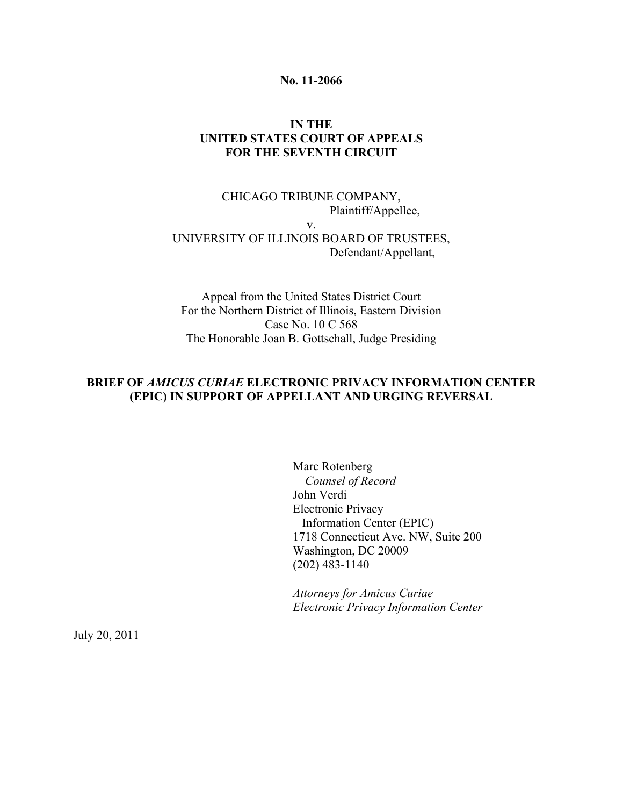### **No. 11-2066**

## **IN THE UNITED STATES COURT OF APPEALS FOR THE SEVENTH CIRCUIT**

## CHICAGO TRIBUNE COMPANY, Plaintiff/Appellee, v. UNIVERSITY OF ILLINOIS BOARD OF TRUSTEES, Defendant/Appellant,

Appeal from the United States District Court For the Northern District of Illinois, Eastern Division Case No. 10 C 568 The Honorable Joan B. Gottschall, Judge Presiding

## **BRIEF OF** *AMICUS CURIAE* **ELECTRONIC PRIVACY INFORMATION CENTER (EPIC) IN SUPPORT OF APPELLANT AND URGING REVERSAL**

Marc Rotenberg *Counsel of Record* John Verdi Electronic Privacy Information Center (EPIC) 1718 Connecticut Ave. NW, Suite 200 Washington, DC 20009 (202) 483-1140

*Attorneys for Amicus Curiae Electronic Privacy Information Center*

July 20, 2011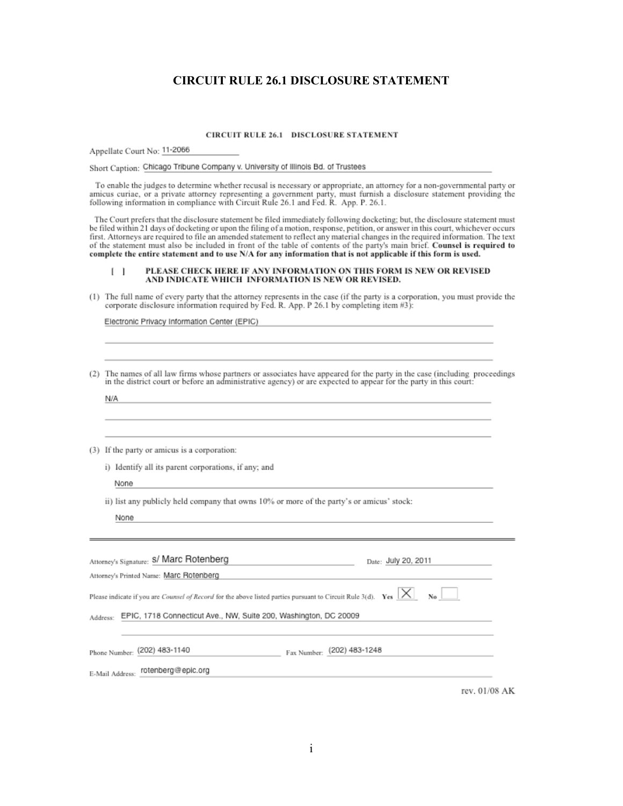## **CIRCUIT RULE 26.1 DISCLOSURE STATEMENT**

#### **CIRCUIT RULE 26.1 DISCLOSURE STATEMENT**

Appellate Court No: 11-2066

Short Caption: Chicago Tribune Company v. University of Illinois Bd. of Trustees

To enable the judges to determine whether recusal is necessary or appropriate, an attorney for a non-governmental party or The contract of the proportion of the extreme preparameter and the proportion of the contract of the proportion of the contract of the proportion of the contract of the contract of the contract of the contract of the contr

The Court prefers that the disclosure statement be filed immediately following docketing; but, the disclosure statement must be filed within 21 days of docketing or upon the filing of a motion, response, petition, or answer in this court, whichever occurs first. Attorneys are required to file an amended statement to reflect any material changes in the required information. The text of the statement must also be included in front of the table of contents of the party's main brief. Counsel is required to<br>complete the entire statement must also be included in front of the table of contents of the party'

#### PLEASE CHECK HERE IF ANY INFORMATION ON THIS FORM IS NEW OR REVISED AND INDICATE WHICH INFORMATION IS NEW OR REVISED.  $\Box$

(1) The full name of every party that the attorney represents in the case (if the party is a corporation, you must provide the corporate disclosure information required by Fed. R. App. P 26.1 by completing item  $#3$ ):

Electronic Privacy Information Center (EPIC)

| (2) | The names of all law firms whose partners or associates have appeared for the party in the case (including proceedings<br>in the district court or before an administrative agency) or are expected to appear for the party in this court: |  |  |  |
|-----|--------------------------------------------------------------------------------------------------------------------------------------------------------------------------------------------------------------------------------------------|--|--|--|
|     | N/A                                                                                                                                                                                                                                        |  |  |  |
|     |                                                                                                                                                                                                                                            |  |  |  |
|     |                                                                                                                                                                                                                                            |  |  |  |
| (3) | If the party or amicus is a corporation:                                                                                                                                                                                                   |  |  |  |
|     | i) Identify all its parent corporations, if any; and                                                                                                                                                                                       |  |  |  |
|     | None                                                                                                                                                                                                                                       |  |  |  |
|     | ii) list any publicly held company that owns 10% or more of the party's or amicus' stock:                                                                                                                                                  |  |  |  |
|     | None                                                                                                                                                                                                                                       |  |  |  |
|     |                                                                                                                                                                                                                                            |  |  |  |
|     |                                                                                                                                                                                                                                            |  |  |  |
|     | Attorney's Signature: S/ Marc Rotenberg<br>Date: July 20, 2011<br>the control of the control of the control of the control of                                                                                                              |  |  |  |
|     | Attorney's Printed Name: Marc Rotenberg                                                                                                                                                                                                    |  |  |  |
|     | Please indicate if you are <i>Counsel of Record</i> for the above listed parties pursuant to Circuit Rule 3(d). Yes $\vert \times \vert$                                                                                                   |  |  |  |
|     | EPIC, 1718 Connecticut Ave., NW, Suite 200, Washington, DC 20009<br>Address:                                                                                                                                                               |  |  |  |
|     |                                                                                                                                                                                                                                            |  |  |  |
|     | Fax Number: (202) 483-1248<br>Phone Number: (202) 483-1140                                                                                                                                                                                 |  |  |  |
|     | rotenberg@epic.org<br>E-Mail Address:                                                                                                                                                                                                      |  |  |  |
|     |                                                                                                                                                                                                                                            |  |  |  |

rev. 01/08 AK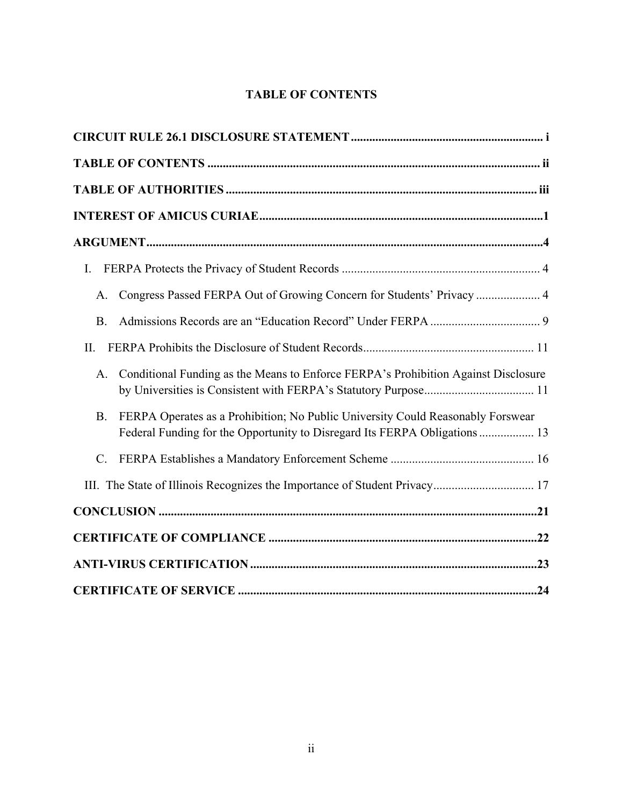# **TABLE OF CONTENTS**

| I.                                                                                                                                                                        |  |
|---------------------------------------------------------------------------------------------------------------------------------------------------------------------------|--|
| Congress Passed FERPA Out of Growing Concern for Students' Privacy  4<br>A.                                                                                               |  |
| <b>B.</b>                                                                                                                                                                 |  |
| $\prod$                                                                                                                                                                   |  |
| Conditional Funding as the Means to Enforce FERPA's Prohibition Against Disclosure<br>A.                                                                                  |  |
| FERPA Operates as a Prohibition; No Public University Could Reasonably Forswear<br><b>B.</b><br>Federal Funding for the Opportunity to Disregard Its FERPA Obligations 13 |  |
| $\mathcal{C}$ .                                                                                                                                                           |  |
|                                                                                                                                                                           |  |
|                                                                                                                                                                           |  |
|                                                                                                                                                                           |  |
|                                                                                                                                                                           |  |
|                                                                                                                                                                           |  |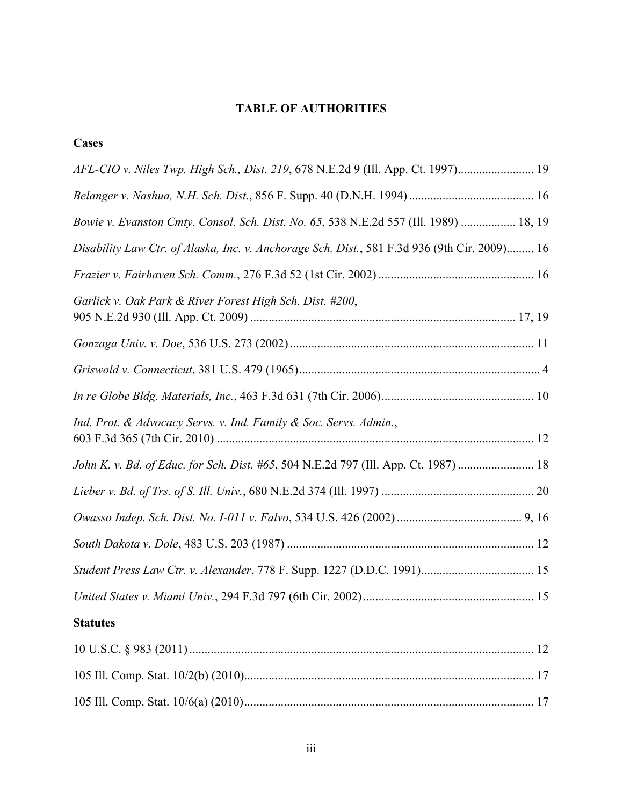# **TABLE OF AUTHORITIES**

| I<br>۰.<br>۰,<br>I |
|--------------------|
|--------------------|

| AFL-CIO v. Niles Twp. High Sch., Dist. 219, 678 N.E.2d 9 (Ill. App. Ct. 1997) 19             |
|----------------------------------------------------------------------------------------------|
|                                                                                              |
| Bowie v. Evanston Cmty. Consol. Sch. Dist. No. 65, 538 N.E.2d 557 (Ill. 1989)  18, 19        |
| Disability Law Ctr. of Alaska, Inc. v. Anchorage Sch. Dist., 581 F.3d 936 (9th Cir. 2009) 16 |
|                                                                                              |
| Garlick v. Oak Park & River Forest High Sch. Dist. #200,                                     |
|                                                                                              |
|                                                                                              |
|                                                                                              |
| Ind. Prot. & Advocacy Servs. v. Ind. Family & Soc. Servs. Admin.,                            |
| John K. v. Bd. of Educ. for Sch. Dist. #65, 504 N.E.2d 797 (Ill. App. Ct. 1987)  18          |
|                                                                                              |
|                                                                                              |
|                                                                                              |
|                                                                                              |
|                                                                                              |
| <b>Statutes</b>                                                                              |
|                                                                                              |
|                                                                                              |
|                                                                                              |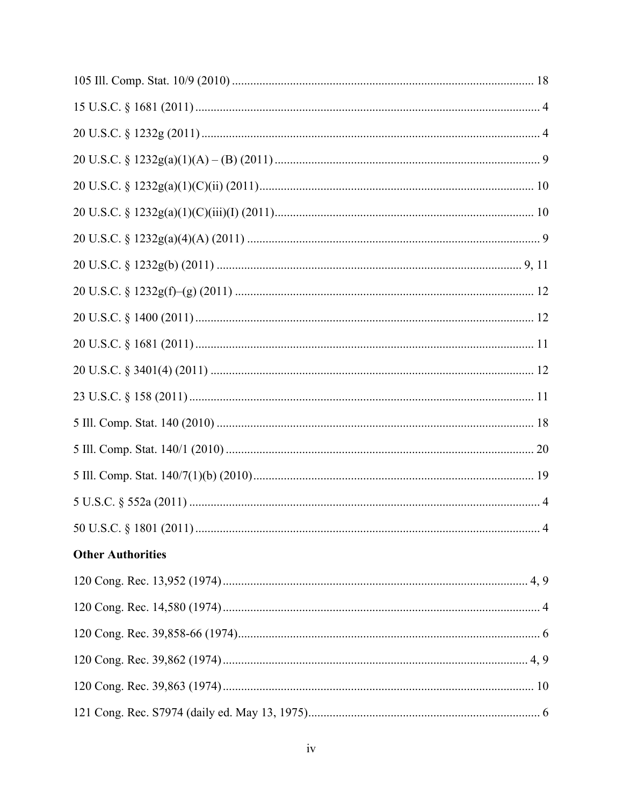| <b>Other Authorities</b> |  |
|--------------------------|--|
|                          |  |
|                          |  |
|                          |  |
|                          |  |
|                          |  |
|                          |  |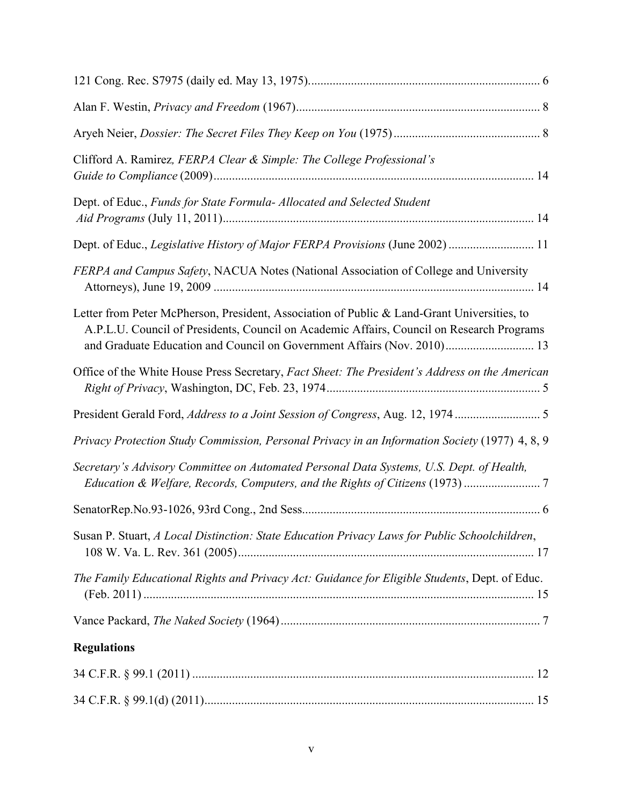| Clifford A. Ramirez, FERPA Clear & Simple: The College Professional's                                                                                                                                                                                               |
|---------------------------------------------------------------------------------------------------------------------------------------------------------------------------------------------------------------------------------------------------------------------|
| Dept. of Educ., Funds for State Formula- Allocated and Selected Student                                                                                                                                                                                             |
| Dept. of Educ., Legislative History of Major FERPA Provisions (June 2002)  11                                                                                                                                                                                       |
| FERPA and Campus Safety, NACUA Notes (National Association of College and University                                                                                                                                                                                |
| Letter from Peter McPherson, President, Association of Public & Land-Grant Universities, to<br>A.P.L.U. Council of Presidents, Council on Academic Affairs, Council on Research Programs<br>and Graduate Education and Council on Government Affairs (Nov. 2010) 13 |
| Office of the White House Press Secretary, Fact Sheet: The President's Address on the American                                                                                                                                                                      |
|                                                                                                                                                                                                                                                                     |
| Privacy Protection Study Commission, Personal Privacy in an Information Society (1977) 4, 8, 9                                                                                                                                                                      |
| Secretary's Advisory Committee on Automated Personal Data Systems, U.S. Dept. of Health,<br>Education & Welfare, Records, Computers, and the Rights of Citizens (1973)                                                                                              |
|                                                                                                                                                                                                                                                                     |
| Susan P. Stuart, A Local Distinction: State Education Privacy Laws for Public Schoolchildren,                                                                                                                                                                       |
| The Family Educational Rights and Privacy Act: Guidance for Eligible Students, Dept. of Educ.                                                                                                                                                                       |
|                                                                                                                                                                                                                                                                     |
| <b>Regulations</b>                                                                                                                                                                                                                                                  |
|                                                                                                                                                                                                                                                                     |
|                                                                                                                                                                                                                                                                     |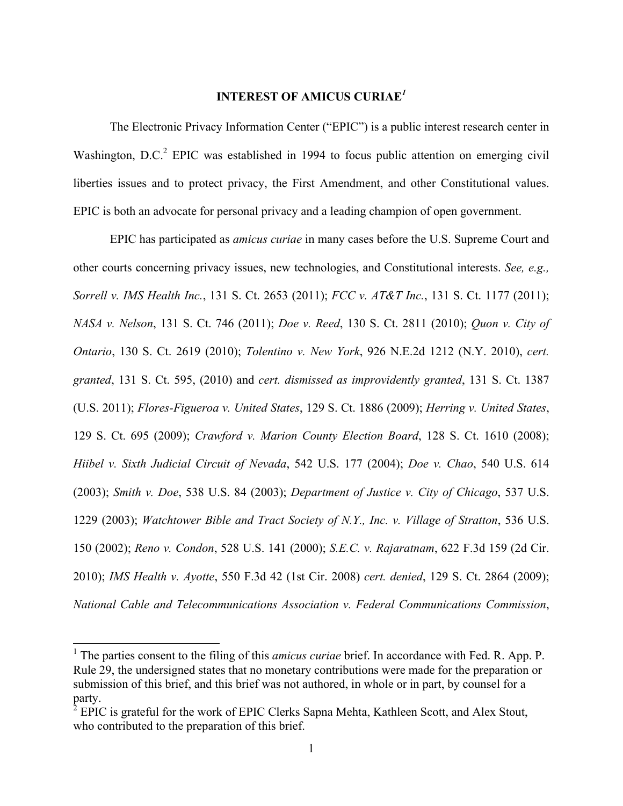## **INTEREST OF AMICUS CURIAE***<sup>1</sup>*

The Electronic Privacy Information Center ("EPIC") is a public interest research center in Washington, D.C.<sup>2</sup> EPIC was established in 1994 to focus public attention on emerging civil liberties issues and to protect privacy, the First Amendment, and other Constitutional values. EPIC is both an advocate for personal privacy and a leading champion of open government.

EPIC has participated as *amicus curiae* in many cases before the U.S. Supreme Court and other courts concerning privacy issues, new technologies, and Constitutional interests. *See, e.g., Sorrell v. IMS Health Inc.*, 131 S. Ct. 2653 (2011); *FCC v. AT&T Inc.*, 131 S. Ct. 1177 (2011); *NASA v. Nelson*, 131 S. Ct. 746 (2011); *Doe v. Reed*, 130 S. Ct. 2811 (2010); *Quon v. City of Ontario*, 130 S. Ct. 2619 (2010); *Tolentino v. New York*, 926 N.E.2d 1212 (N.Y. 2010), *cert. granted*, 131 S. Ct. 595, (2010) and *cert. dismissed as improvidently granted*, 131 S. Ct. 1387 (U.S. 2011); *Flores-Figueroa v. United States*, 129 S. Ct. 1886 (2009); *Herring v. United States*, 129 S. Ct. 695 (2009); *Crawford v. Marion County Election Board*, 128 S. Ct. 1610 (2008); *Hiibel v. Sixth Judicial Circuit of Nevada*, 542 U.S. 177 (2004); *Doe v. Chao*, 540 U.S. 614 (2003); *Smith v. Doe*, 538 U.S. 84 (2003); *Department of Justice v. City of Chicago*, 537 U.S. 1229 (2003); *Watchtower Bible and Tract Society of N.Y., Inc. v. Village of Stratton*, 536 U.S. 150 (2002); *Reno v. Condon*, 528 U.S. 141 (2000); *S.E.C. v. Rajaratnam*, 622 F.3d 159 (2d Cir. 2010); *IMS Health v. Ayotte*, 550 F.3d 42 (1st Cir. 2008) *cert. denied*, 129 S. Ct. 2864 (2009); *National Cable and Telecommunications Association v. Federal Communications Commission*,

<sup>&</sup>lt;sup>1</sup> The parties consent to the filing of this *amicus curiae* brief. In accordance with Fed. R. App. P. Rule 29, the undersigned states that no monetary contributions were made for the preparation or submission of this brief, and this brief was not authored, in whole or in part, by counsel for a party.

 $^{2}$  EPIC is grateful for the work of EPIC Clerks Sapna Mehta, Kathleen Scott, and Alex Stout, who contributed to the preparation of this brief.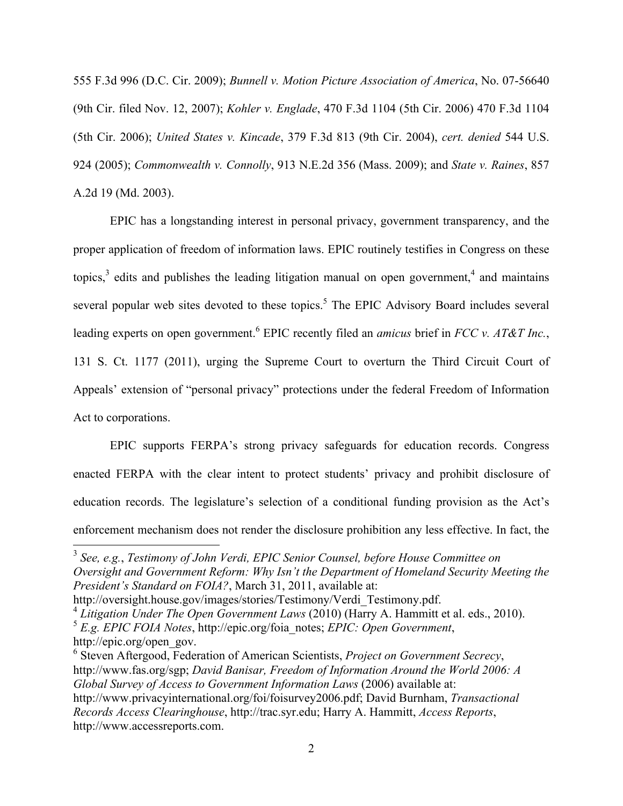555 F.3d 996 (D.C. Cir. 2009); *Bunnell v. Motion Picture Association of America*, No. 07-56640 (9th Cir. filed Nov. 12, 2007); *Kohler v. Englade*, 470 F.3d 1104 (5th Cir. 2006) 470 F.3d 1104 (5th Cir. 2006); *United States v. Kincade*, 379 F.3d 813 (9th Cir. 2004), *cert. denied* 544 U.S. 924 (2005); *Commonwealth v. Connolly*, 913 N.E.2d 356 (Mass. 2009); and *State v. Raines*, 857 A.2d 19 (Md. 2003).

EPIC has a longstanding interest in personal privacy, government transparency, and the proper application of freedom of information laws. EPIC routinely testifies in Congress on these topics, $3$  edits and publishes the leading litigation manual on open government, and maintains several popular web sites devoted to these topics.<sup>5</sup> The EPIC Advisory Board includes several leading experts on open government.<sup>6</sup> EPIC recently filed an *amicus* brief in *FCC v. AT&T Inc.*, 131 S. Ct. 1177 (2011), urging the Supreme Court to overturn the Third Circuit Court of Appeals' extension of "personal privacy" protections under the federal Freedom of Information Act to corporations.

EPIC supports FERPA's strong privacy safeguards for education records. Congress enacted FERPA with the clear intent to protect students' privacy and prohibit disclosure of education records. The legislature's selection of a conditional funding provision as the Act's enforcement mechanism does not render the disclosure prohibition any less effective. In fact, the

<sup>&</sup>lt;sup>3</sup> See, e.g., Testimony of John Verdi, EPIC Senior Counsel, before House Committee on *Oversight and Government Reform: Why Isn't the Department of Homeland Security Meeting the President's Standard on FOIA?*, March 31, 2011, available at:

http://oversight.house.gov/images/stories/Testimony/Verdi\_Testimony.pdf. <sup>4</sup> *Litigation Under The Open Government Laws* (2010) (Harry A. Hammitt et al. eds., 2010).

<sup>5</sup> *E.g. EPIC FOIA Notes*, http://epic.org/foia\_notes; *EPIC: Open Government*,

http://epic.org/open\_gov.

<sup>6</sup> Steven Aftergood, Federation of American Scientists, *Project on Government Secrecy*, http://www.fas.org/sgp; *David Banisar, Freedom of Information Around the World 2006: A Global Survey of Access to Government Information Laws* (2006) available at: http://www.privacyinternational.org/foi/foisurvey2006.pdf; David Burnham, *Transactional Records Access Clearinghouse*, http://trac.syr.edu; Harry A. Hammitt, *Access Reports*, http://www.accessreports.com.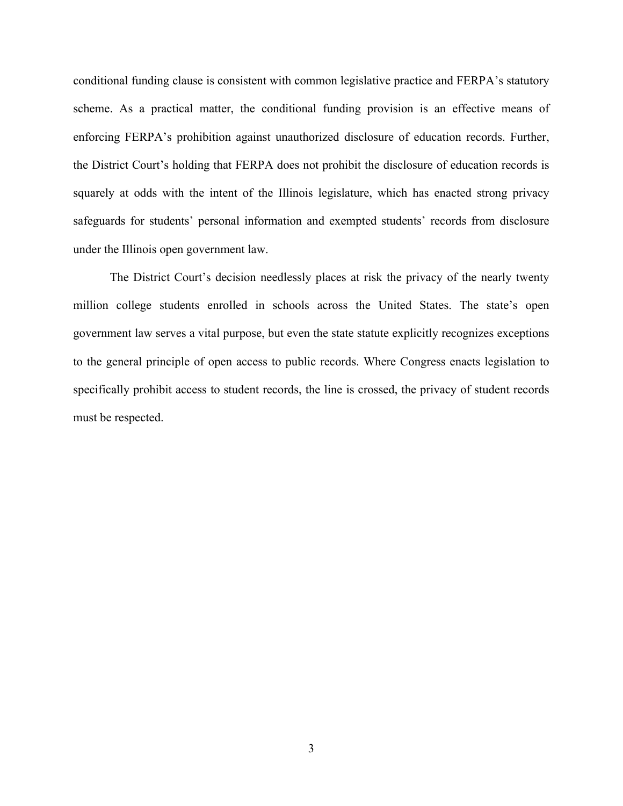conditional funding clause is consistent with common legislative practice and FERPA's statutory scheme. As a practical matter, the conditional funding provision is an effective means of enforcing FERPA's prohibition against unauthorized disclosure of education records. Further, the District Court's holding that FERPA does not prohibit the disclosure of education records is squarely at odds with the intent of the Illinois legislature, which has enacted strong privacy safeguards for students' personal information and exempted students' records from disclosure under the Illinois open government law.

The District Court's decision needlessly places at risk the privacy of the nearly twenty million college students enrolled in schools across the United States. The state's open government law serves a vital purpose, but even the state statute explicitly recognizes exceptions to the general principle of open access to public records. Where Congress enacts legislation to specifically prohibit access to student records, the line is crossed, the privacy of student records must be respected.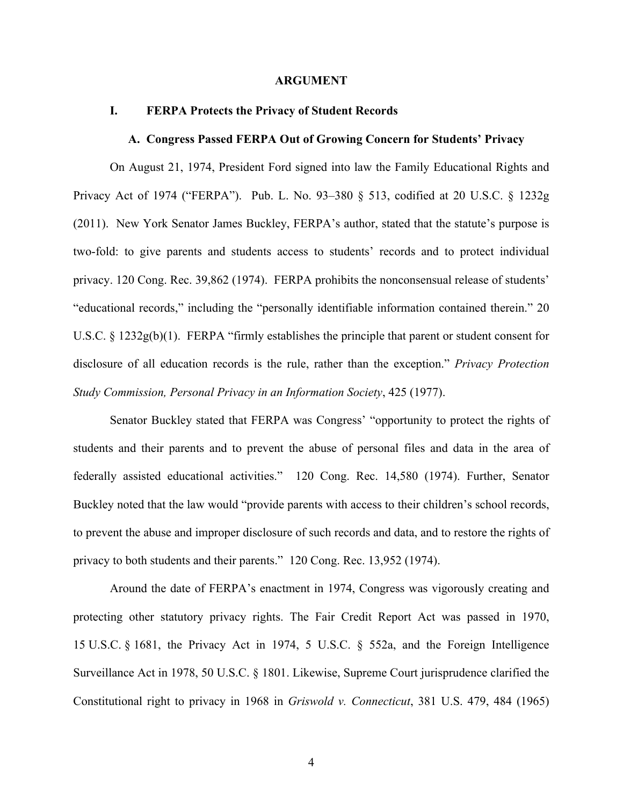### **ARGUMENT**

#### **I. FERPA Protects the Privacy of Student Records**

#### **A. Congress Passed FERPA Out of Growing Concern for Students' Privacy**

On August 21, 1974, President Ford signed into law the Family Educational Rights and Privacy Act of 1974 ("FERPA"). Pub. L. No. 93–380 § 513, codified at 20 U.S.C. § 1232g (2011). New York Senator James Buckley, FERPA's author, stated that the statute's purpose is two-fold: to give parents and students access to students' records and to protect individual privacy. 120 Cong. Rec. 39,862 (1974). FERPA prohibits the nonconsensual release of students' "educational records," including the "personally identifiable information contained therein." 20 U.S.C. § 1232g(b)(1). FERPA "firmly establishes the principle that parent or student consent for disclosure of all education records is the rule, rather than the exception." *Privacy Protection Study Commission, Personal Privacy in an Information Society*, 425 (1977).

Senator Buckley stated that FERPA was Congress' "opportunity to protect the rights of students and their parents and to prevent the abuse of personal files and data in the area of federally assisted educational activities." 120 Cong. Rec. 14,580 (1974). Further, Senator Buckley noted that the law would "provide parents with access to their children's school records, to prevent the abuse and improper disclosure of such records and data, and to restore the rights of privacy to both students and their parents." 120 Cong. Rec. 13,952 (1974).

Around the date of FERPA's enactment in 1974, Congress was vigorously creating and protecting other statutory privacy rights. The Fair Credit Report Act was passed in 1970, 15 U.S.C. § 1681, the Privacy Act in 1974, 5 U.S.C. § 552a, and the Foreign Intelligence Surveillance Act in 1978, 50 U.S.C. § 1801. Likewise, Supreme Court jurisprudence clarified the Constitutional right to privacy in 1968 in *Griswold v. Connecticut*, 381 U.S. 479, 484 (1965)

4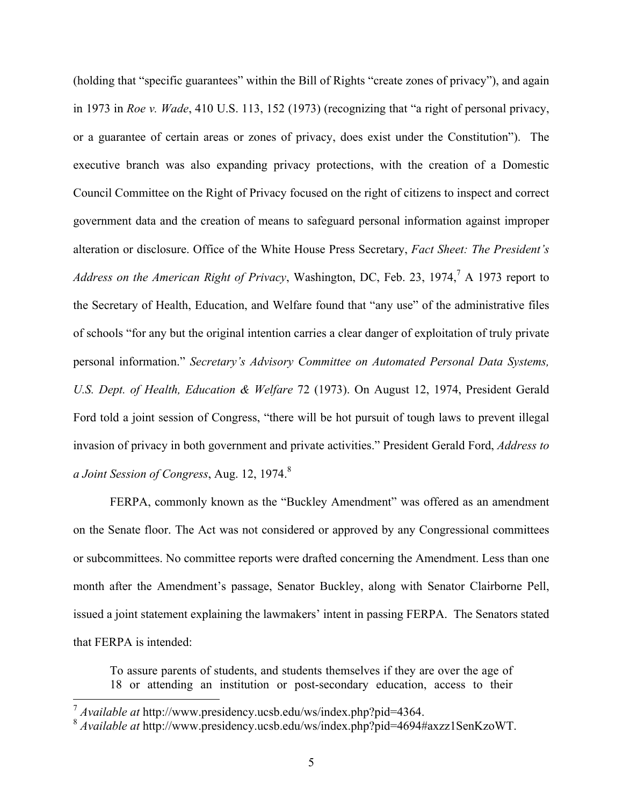(holding that "specific guarantees" within the Bill of Rights "create zones of privacy"), and again in 1973 in *Roe v. Wade*, 410 U.S. 113, 152 (1973) (recognizing that "a right of personal privacy, or a guarantee of certain areas or zones of privacy, does exist under the Constitution"). The executive branch was also expanding privacy protections, with the creation of a Domestic Council Committee on the Right of Privacy focused on the right of citizens to inspect and correct government data and the creation of means to safeguard personal information against improper alteration or disclosure. Office of the White House Press Secretary, *Fact Sheet: The President's*  Address on the American Right of Privacy, Washington, DC, Feb. 23, 1974,<sup>7</sup> A 1973 report to the Secretary of Health, Education, and Welfare found that "any use" of the administrative files of schools "for any but the original intention carries a clear danger of exploitation of truly private personal information." *Secretary's Advisory Committee on Automated Personal Data Systems, U.S. Dept. of Health, Education & Welfare* 72 (1973). On August 12, 1974, President Gerald Ford told a joint session of Congress, "there will be hot pursuit of tough laws to prevent illegal invasion of privacy in both government and private activities." President Gerald Ford, *Address to a Joint Session of Congress*, Aug. 12, 1974. 8

FERPA, commonly known as the "Buckley Amendment" was offered as an amendment on the Senate floor. The Act was not considered or approved by any Congressional committees or subcommittees. No committee reports were drafted concerning the Amendment. Less than one month after the Amendment's passage, Senator Buckley, along with Senator Clairborne Pell, issued a joint statement explaining the lawmakers' intent in passing FERPA. The Senators stated that FERPA is intended:

To assure parents of students, and students themselves if they are over the age of 18 or attending an institution or post-secondary education, access to their

 $\frac{7}{8}$  Available at http://www.presidency.ucsb.edu/ws/index.php?pid=4364.<br>  $\frac{8}{8}$  Available at http://www.presidency.ucsb.edu/ws/index.php?pid=4694#axzz1SenKzoWT.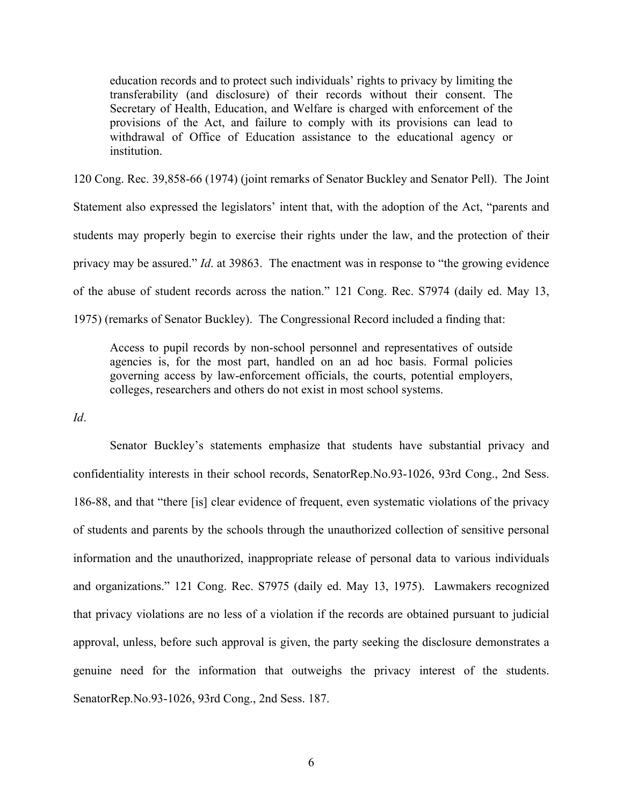education records and to protect such individuals' rights to privacy by limiting the transferability (and disclosure) of their records without their consent. The Secretary of Health, Education, and Welfare is charged with enforcement of the provisions of the Act, and failure to comply with its provisions can lead to withdrawal of Office of Education assistance to the educational agency or institution.

120 Cong. Rec. 39,858-66 (1974) (joint remarks of Senator Buckley and Senator Pell). The Joint Statement also expressed the legislators' intent that, with the adoption of the Act, "parents and students may properly begin to exercise their rights under the law, and the protection of their privacy may be assured." *Id*. at 39863. The enactment was in response to "the growing evidence of the abuse of student records across the nation." 121 Cong. Rec. S7974 (daily ed. May 13, 1975) (remarks of Senator Buckley). The Congressional Record included a finding that:

Access to pupil records by non-school personnel and representatives of outside agencies is, for the most part, handled on an ad hoc basis. Formal policies governing access by law-enforcement officials, the courts, potential employers, colleges, researchers and others do not exist in most school systems.

*Id*.

Senator Buckley's statements emphasize that students have substantial privacy and confidentiality interests in their school records, SenatorRep.No.93-1026, 93rd Cong., 2nd Sess. 186-88, and that "there [is] clear evidence of frequent, even systematic violations of the privacy of students and parents by the schools through the unauthorized collection of sensitive personal information and the unauthorized, inappropriate release of personal data to various individuals and organizations." 121 Cong. Rec. S7975 (daily ed. May 13, 1975). Lawmakers recognized that privacy violations are no less of a violation if the records are obtained pursuant to judicial approval, unless, before such approval is given, the party seeking the disclosure demonstrates a genuine need for the information that outweighs the privacy interest of the students. SenatorRep.No.93-1026, 93rd Cong., 2nd Sess. 187.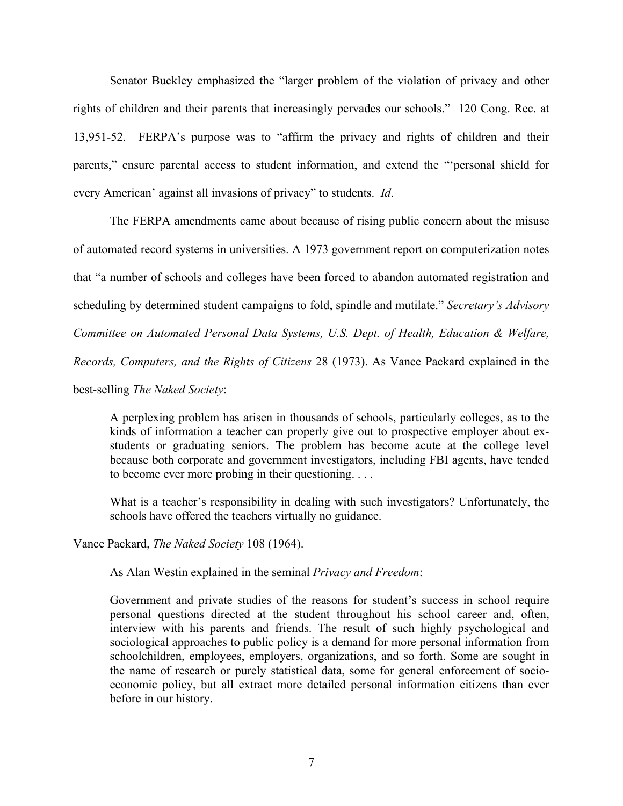Senator Buckley emphasized the "larger problem of the violation of privacy and other rights of children and their parents that increasingly pervades our schools." 120 Cong. Rec. at 13,951-52. FERPA's purpose was to "affirm the privacy and rights of children and their parents," ensure parental access to student information, and extend the "'personal shield for every American' against all invasions of privacy" to students. *Id*.

The FERPA amendments came about because of rising public concern about the misuse of automated record systems in universities. A 1973 government report on computerization notes that "a number of schools and colleges have been forced to abandon automated registration and scheduling by determined student campaigns to fold, spindle and mutilate." *Secretary's Advisory Committee on Automated Personal Data Systems, U.S. Dept. of Health, Education & Welfare, Records, Computers, and the Rights of Citizens* 28 (1973). As Vance Packard explained in the best-selling *The Naked Society*:

A perplexing problem has arisen in thousands of schools, particularly colleges, as to the kinds of information a teacher can properly give out to prospective employer about exstudents or graduating seniors. The problem has become acute at the college level because both corporate and government investigators, including FBI agents, have tended to become ever more probing in their questioning. . . .

What is a teacher's responsibility in dealing with such investigators? Unfortunately, the schools have offered the teachers virtually no guidance.

Vance Packard, *The Naked Society* 108 (1964).

As Alan Westin explained in the seminal *Privacy and Freedom*:

Government and private studies of the reasons for student's success in school require personal questions directed at the student throughout his school career and, often, interview with his parents and friends. The result of such highly psychological and sociological approaches to public policy is a demand for more personal information from schoolchildren, employees, employers, organizations, and so forth. Some are sought in the name of research or purely statistical data, some for general enforcement of socioeconomic policy, but all extract more detailed personal information citizens than ever before in our history.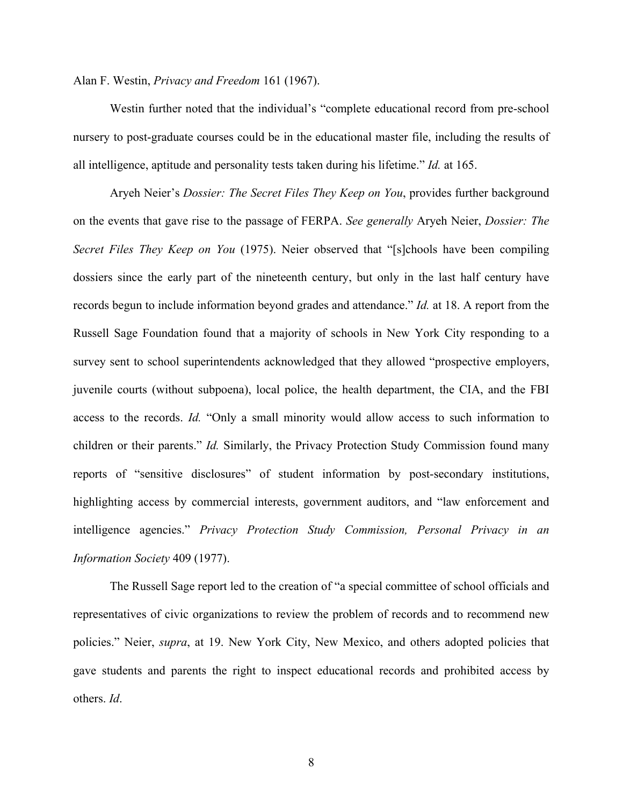Alan F. Westin, *Privacy and Freedom* 161 (1967).

Westin further noted that the individual's "complete educational record from pre-school nursery to post-graduate courses could be in the educational master file, including the results of all intelligence, aptitude and personality tests taken during his lifetime." *Id.* at 165.

Aryeh Neier's *Dossier: The Secret Files They Keep on You*, provides further background on the events that gave rise to the passage of FERPA. *See generally* Aryeh Neier, *Dossier: The Secret Files They Keep on You* (1975). Neier observed that "[s]chools have been compiling dossiers since the early part of the nineteenth century, but only in the last half century have records begun to include information beyond grades and attendance." *Id.* at 18. A report from the Russell Sage Foundation found that a majority of schools in New York City responding to a survey sent to school superintendents acknowledged that they allowed "prospective employers, juvenile courts (without subpoena), local police, the health department, the CIA, and the FBI access to the records. *Id.* "Only a small minority would allow access to such information to children or their parents." *Id.* Similarly, the Privacy Protection Study Commission found many reports of "sensitive disclosures" of student information by post-secondary institutions, highlighting access by commercial interests, government auditors, and "law enforcement and intelligence agencies." *Privacy Protection Study Commission, Personal Privacy in an Information Society* 409 (1977).

The Russell Sage report led to the creation of "a special committee of school officials and representatives of civic organizations to review the problem of records and to recommend new policies." Neier, *supra*, at 19. New York City, New Mexico, and others adopted policies that gave students and parents the right to inspect educational records and prohibited access by others. *Id*.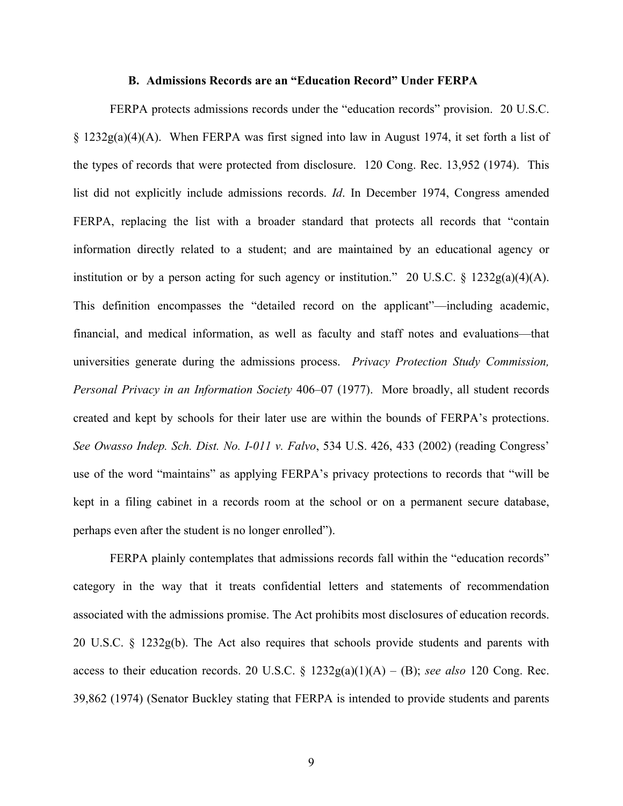#### **B. Admissions Records are an "Education Record" Under FERPA**

FERPA protects admissions records under the "education records" provision. 20 U.S.C.  $\S$  1232g(a)(4)(A). When FERPA was first signed into law in August 1974, it set forth a list of the types of records that were protected from disclosure. 120 Cong. Rec. 13,952 (1974). This list did not explicitly include admissions records. *Id*. In December 1974, Congress amended FERPA, replacing the list with a broader standard that protects all records that "contain information directly related to a student; and are maintained by an educational agency or institution or by a person acting for such agency or institution." 20 U.S.C.  $\S$  1232g(a)(4)(A). This definition encompasses the "detailed record on the applicant"—including academic, financial, and medical information, as well as faculty and staff notes and evaluations—that universities generate during the admissions process. *Privacy Protection Study Commission, Personal Privacy in an Information Society* 406–07 (1977). More broadly, all student records created and kept by schools for their later use are within the bounds of FERPA's protections. *See Owasso Indep. Sch. Dist. No. I-011 v. Falvo*, 534 U.S. 426, 433 (2002) (reading Congress' use of the word "maintains" as applying FERPA's privacy protections to records that "will be kept in a filing cabinet in a records room at the school or on a permanent secure database, perhaps even after the student is no longer enrolled").

FERPA plainly contemplates that admissions records fall within the "education records" category in the way that it treats confidential letters and statements of recommendation associated with the admissions promise. The Act prohibits most disclosures of education records. 20 U.S.C. § 1232g(b). The Act also requires that schools provide students and parents with access to their education records. 20 U.S.C.  $\S$  1232g(a)(1)(A) – (B); *see also* 120 Cong. Rec. 39,862 (1974) (Senator Buckley stating that FERPA is intended to provide students and parents

9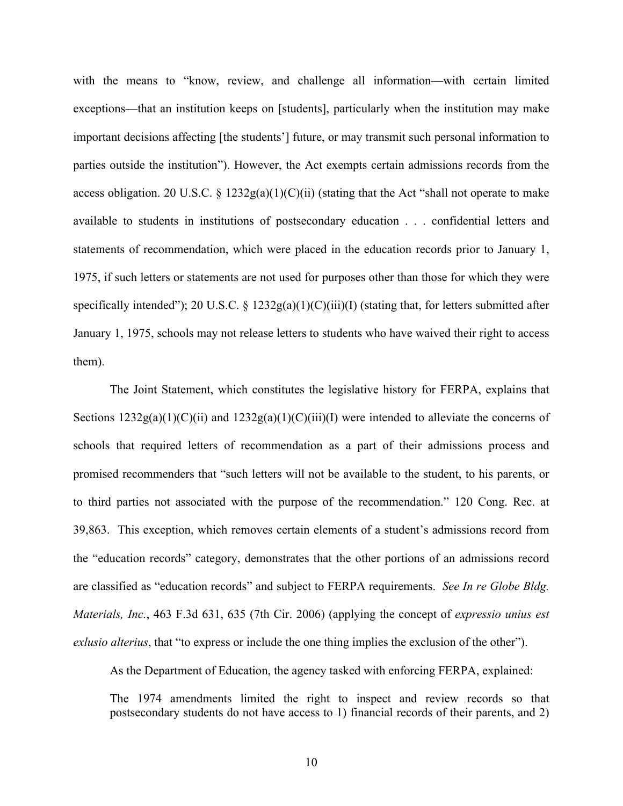with the means to "know, review, and challenge all information—with certain limited exceptions—that an institution keeps on [students], particularly when the institution may make important decisions affecting [the students'] future, or may transmit such personal information to parties outside the institution"). However, the Act exempts certain admissions records from the access obligation. 20 U.S.C. § 1232g(a)(1)(C)(ii) (stating that the Act "shall not operate to make available to students in institutions of postsecondary education . . . confidential letters and statements of recommendation, which were placed in the education records prior to January 1, 1975, if such letters or statements are not used for purposes other than those for which they were specifically intended"); 20 U.S.C. §  $1232g(a)(1)(C)(iii)(I)$  (stating that, for letters submitted after January 1, 1975, schools may not release letters to students who have waived their right to access them).

The Joint Statement, which constitutes the legislative history for FERPA, explains that Sections  $1232g(a)(1)(C)(ii)$  and  $1232g(a)(1)(C)(iii)(I)$  were intended to alleviate the concerns of schools that required letters of recommendation as a part of their admissions process and promised recommenders that "such letters will not be available to the student, to his parents, or to third parties not associated with the purpose of the recommendation." 120 Cong. Rec. at 39,863. This exception, which removes certain elements of a student's admissions record from the "education records" category, demonstrates that the other portions of an admissions record are classified as "education records" and subject to FERPA requirements. *See In re Globe Bldg. Materials, Inc.*, 463 F.3d 631, 635 (7th Cir. 2006) (applying the concept of *expressio unius est exlusio alterius*, that "to express or include the one thing implies the exclusion of the other").

As the Department of Education, the agency tasked with enforcing FERPA, explained:

The 1974 amendments limited the right to inspect and review records so that postsecondary students do not have access to 1) financial records of their parents, and 2)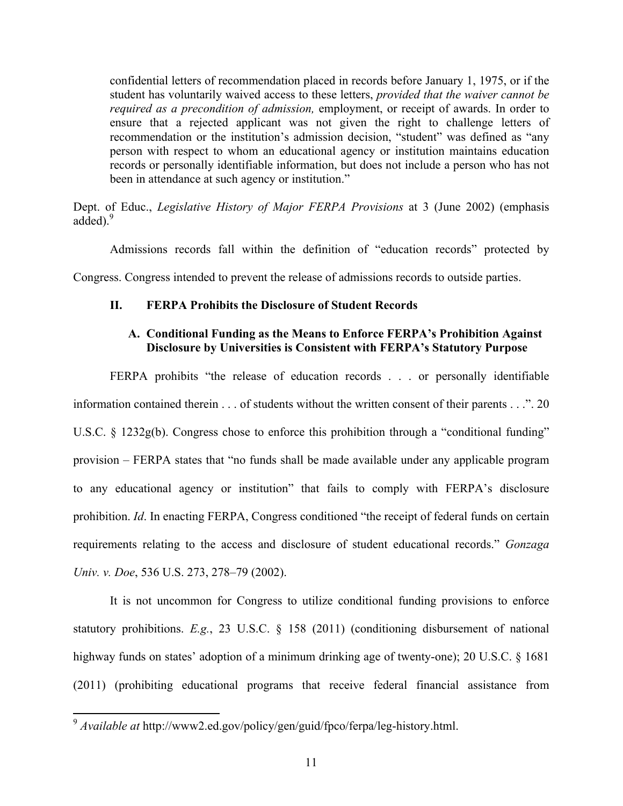confidential letters of recommendation placed in records before January 1, 1975, or if the student has voluntarily waived access to these letters, *provided that the waiver cannot be required as a precondition of admission,* employment, or receipt of awards. In order to ensure that a rejected applicant was not given the right to challenge letters of recommendation or the institution's admission decision, "student" was defined as "any person with respect to whom an educational agency or institution maintains education records or personally identifiable information, but does not include a person who has not been in attendance at such agency or institution."

Dept. of Educ., *Legislative History of Major FERPA Provisions* at 3 (June 2002) (emphasis added).<sup>9</sup>

Admissions records fall within the definition of "education records" protected by Congress. Congress intended to prevent the release of admissions records to outside parties.

### **II. FERPA Prohibits the Disclosure of Student Records**

## **A. Conditional Funding as the Means to Enforce FERPA's Prohibition Against Disclosure by Universities is Consistent with FERPA's Statutory Purpose**

FERPA prohibits "the release of education records . . . or personally identifiable information contained therein . . . of students without the written consent of their parents . . .". 20 U.S.C. § 1232g(b). Congress chose to enforce this prohibition through a "conditional funding" provision – FERPA states that "no funds shall be made available under any applicable program to any educational agency or institution" that fails to comply with FERPA's disclosure prohibition. *Id*. In enacting FERPA, Congress conditioned "the receipt of federal funds on certain requirements relating to the access and disclosure of student educational records." *Gonzaga Univ. v. Doe*, 536 U.S. 273, 278–79 (2002).

It is not uncommon for Congress to utilize conditional funding provisions to enforce statutory prohibitions. *E.g.*, 23 U.S.C. § 158 (2011) (conditioning disbursement of national highway funds on states' adoption of a minimum drinking age of twenty-one); 20 U.S.C. § 1681 (2011) (prohibiting educational programs that receive federal financial assistance from

<sup>&</sup>lt;sup>9</sup> *Available at* http://www2.ed.gov/policy/gen/guid/fpco/ferpa/leg-history.html.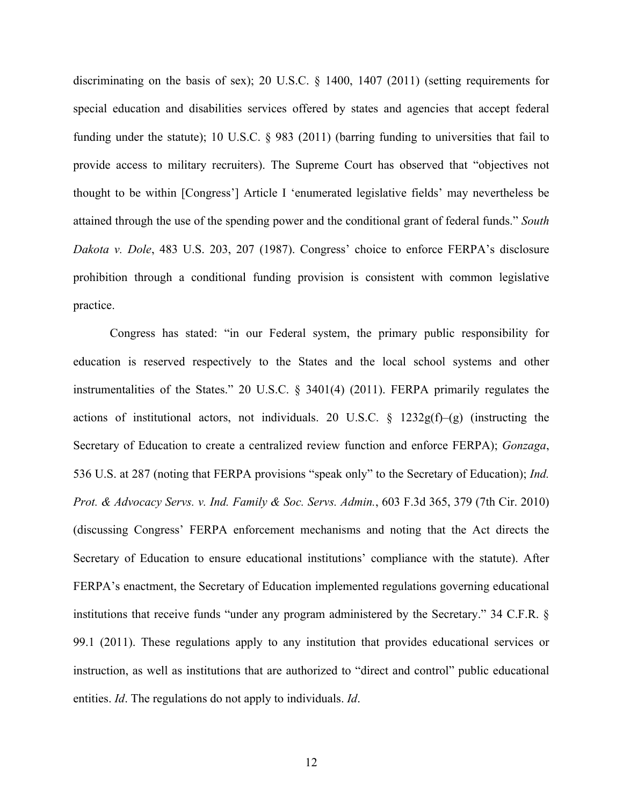discriminating on the basis of sex); 20 U.S.C. § 1400, 1407 (2011) (setting requirements for special education and disabilities services offered by states and agencies that accept federal funding under the statute); 10 U.S.C. § 983 (2011) (barring funding to universities that fail to provide access to military recruiters). The Supreme Court has observed that "objectives not thought to be within [Congress'] Article I 'enumerated legislative fields' may nevertheless be attained through the use of the spending power and the conditional grant of federal funds." *South Dakota v. Dole*, 483 U.S. 203, 207 (1987). Congress' choice to enforce FERPA's disclosure prohibition through a conditional funding provision is consistent with common legislative practice.

Congress has stated: "in our Federal system, the primary public responsibility for education is reserved respectively to the States and the local school systems and other instrumentalities of the States." 20 U.S.C. § 3401(4) (2011). FERPA primarily regulates the actions of institutional actors, not individuals. 20 U.S.C. § 1232g(f)–(g) (instructing the Secretary of Education to create a centralized review function and enforce FERPA); *Gonzaga*, 536 U.S. at 287 (noting that FERPA provisions "speak only" to the Secretary of Education); *Ind. Prot. & Advocacy Servs. v. Ind. Family & Soc. Servs. Admin.*, 603 F.3d 365, 379 (7th Cir. 2010) (discussing Congress' FERPA enforcement mechanisms and noting that the Act directs the Secretary of Education to ensure educational institutions' compliance with the statute). After FERPA's enactment, the Secretary of Education implemented regulations governing educational institutions that receive funds "under any program administered by the Secretary." 34 C.F.R. § 99.1 (2011). These regulations apply to any institution that provides educational services or instruction, as well as institutions that are authorized to "direct and control" public educational entities. *Id*. The regulations do not apply to individuals. *Id*.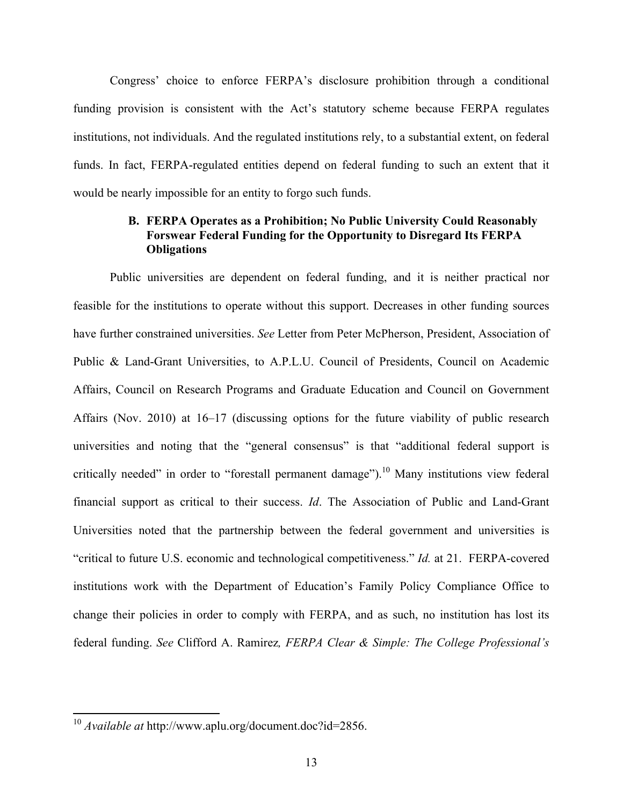Congress' choice to enforce FERPA's disclosure prohibition through a conditional funding provision is consistent with the Act's statutory scheme because FERPA regulates institutions, not individuals. And the regulated institutions rely, to a substantial extent, on federal funds. In fact, FERPA-regulated entities depend on federal funding to such an extent that it would be nearly impossible for an entity to forgo such funds.

## **B. FERPA Operates as a Prohibition; No Public University Could Reasonably Forswear Federal Funding for the Opportunity to Disregard Its FERPA Obligations**

Public universities are dependent on federal funding, and it is neither practical nor feasible for the institutions to operate without this support. Decreases in other funding sources have further constrained universities. *See* Letter from Peter McPherson, President, Association of Public & Land-Grant Universities, to A.P.L.U. Council of Presidents, Council on Academic Affairs, Council on Research Programs and Graduate Education and Council on Government Affairs (Nov. 2010) at 16–17 (discussing options for the future viability of public research universities and noting that the "general consensus" is that "additional federal support is critically needed" in order to "forestall permanent damage").<sup>10</sup> Many institutions view federal financial support as critical to their success. *Id*. The Association of Public and Land-Grant Universities noted that the partnership between the federal government and universities is "critical to future U.S. economic and technological competitiveness." *Id.* at 21. FERPA-covered institutions work with the Department of Education's Family Policy Compliance Office to change their policies in order to comply with FERPA, and as such, no institution has lost its federal funding. *See* Clifford A. Ramirez*, FERPA Clear & Simple: The College Professional's* 

<sup>&</sup>lt;sup>10</sup> Available at http://www.aplu.org/document.doc?id=2856.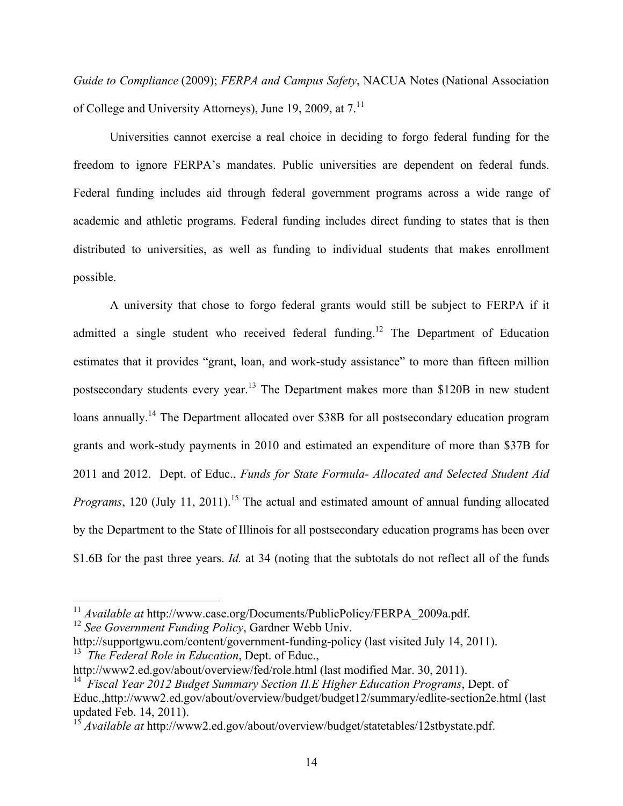*Guide to Compliance* (2009); *FERPA and Campus Safety*, NACUA Notes (National Association of College and University Attorneys), June 19, 2009, at  $7<sup>11</sup>$ 

Universities cannot exercise a real choice in deciding to forgo federal funding for the freedom to ignore FERPA's mandates. Public universities are dependent on federal funds. Federal funding includes aid through federal government programs across a wide range of academic and athletic programs. Federal funding includes direct funding to states that is then distributed to universities, as well as funding to individual students that makes enrollment possible.

A university that chose to forgo federal grants would still be subject to FERPA if it admitted a single student who received federal funding.<sup>12</sup> The Department of Education estimates that it provides "grant, loan, and work-study assistance" to more than fifteen million postsecondary students every year.13 The Department makes more than \$120B in new student loans annually.<sup>14</sup> The Department allocated over \$38B for all postsecondary education program grants and work-study payments in 2010 and estimated an expenditure of more than \$37B for 2011 and 2012. Dept. of Educ., *Funds for State Formula- Allocated and Selected Student Aid Programs*, 120 (July 11, 2011). 15 The actual and estimated amount of annual funding allocated by the Department to the State of Illinois for all postsecondary education programs has been over \$1.6B for the past three years. *Id.* at 34 (noting that the subtotals do not reflect all of the funds

<sup>&</sup>lt;sup>11</sup> Available at http://www.case.org/Documents/PublicPolicy/FERPA\_2009a.pdf. <sup>12</sup> *See Government Funding Policy*, Gardner Webb Univ.

http://supportgwu.com/content/government-funding-policy (last visited July 14, 2011). 13 *The Federal Role in Education*, Dept. of Educ.,

http://www2.ed.gov/about/overview/fed/role.html (last modified Mar. 30, 2011).

<sup>14</sup> *Fiscal Year 2012 Budget Summary Section II.E Higher Education Programs*, Dept. of Educ.,http://www2.ed.gov/about/overview/budget/budget12/summary/edlite-section2e.html (last updated Feb. 14, 2011).

<sup>&</sup>lt;sup>15</sup> *Available at* http://www2.ed.gov/about/overview/budget/statetables/12stbystate.pdf.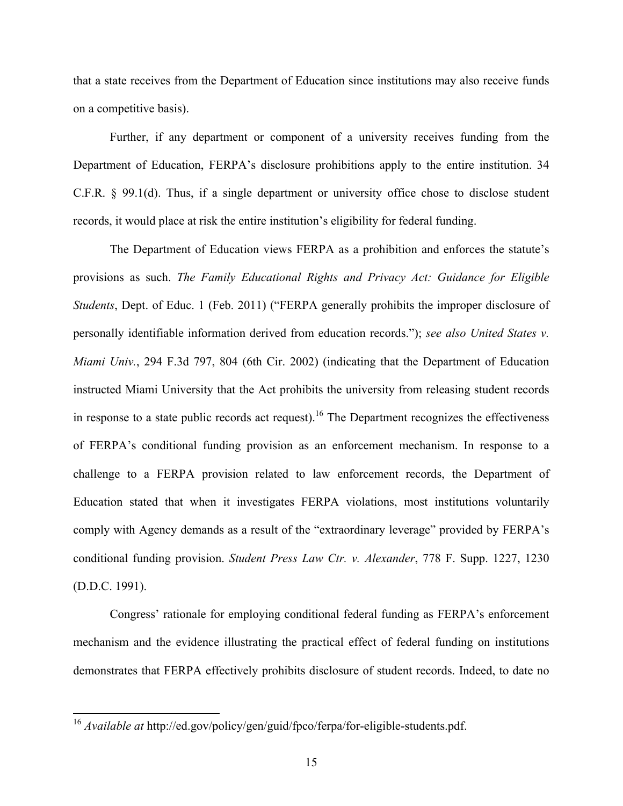that a state receives from the Department of Education since institutions may also receive funds on a competitive basis).

Further, if any department or component of a university receives funding from the Department of Education, FERPA's disclosure prohibitions apply to the entire institution. 34 C.F.R. § 99.1(d). Thus, if a single department or university office chose to disclose student records, it would place at risk the entire institution's eligibility for federal funding.

The Department of Education views FERPA as a prohibition and enforces the statute's provisions as such. *The Family Educational Rights and Privacy Act: Guidance for Eligible Students*, Dept. of Educ. 1 (Feb. 2011) ("FERPA generally prohibits the improper disclosure of personally identifiable information derived from education records."); *see also United States v. Miami Univ.*, 294 F.3d 797, 804 (6th Cir. 2002) (indicating that the Department of Education instructed Miami University that the Act prohibits the university from releasing student records in response to a state public records act request).<sup>16</sup> The Department recognizes the effectiveness of FERPA's conditional funding provision as an enforcement mechanism. In response to a challenge to a FERPA provision related to law enforcement records, the Department of Education stated that when it investigates FERPA violations, most institutions voluntarily comply with Agency demands as a result of the "extraordinary leverage" provided by FERPA's conditional funding provision. *Student Press Law Ctr. v. Alexander*, 778 F. Supp. 1227, 1230 (D.D.C. 1991).

Congress' rationale for employing conditional federal funding as FERPA's enforcement mechanism and the evidence illustrating the practical effect of federal funding on institutions demonstrates that FERPA effectively prohibits disclosure of student records. Indeed, to date no

<sup>&</sup>lt;sup>16</sup> *Available at* http://ed.gov/policy/gen/guid/fpco/ferpa/for-eligible-students.pdf.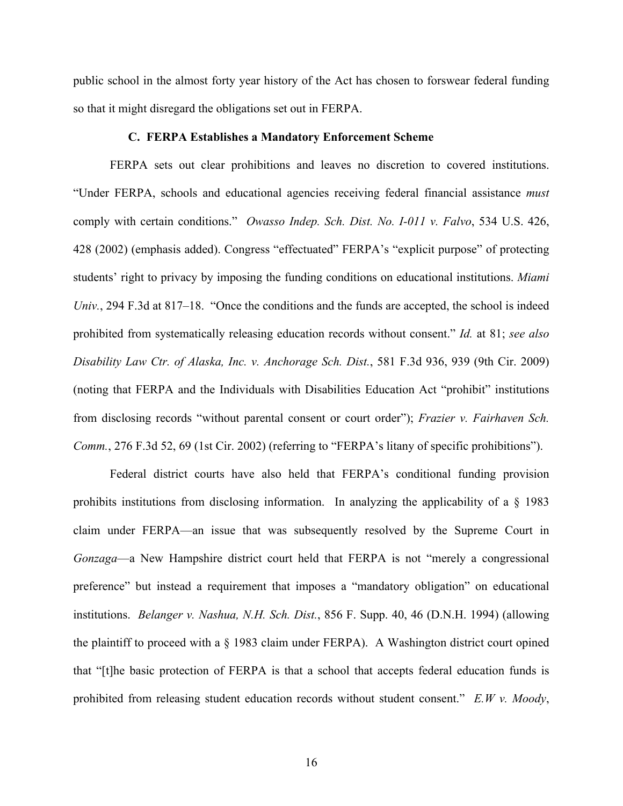public school in the almost forty year history of the Act has chosen to forswear federal funding so that it might disregard the obligations set out in FERPA.

### **C. FERPA Establishes a Mandatory Enforcement Scheme**

FERPA sets out clear prohibitions and leaves no discretion to covered institutions. "Under FERPA, schools and educational agencies receiving federal financial assistance *must* comply with certain conditions." *Owasso Indep. Sch. Dist. No. I-011 v. Falvo*, 534 U.S. 426, 428 (2002) (emphasis added). Congress "effectuated" FERPA's "explicit purpose" of protecting students' right to privacy by imposing the funding conditions on educational institutions. *Miami Univ.*, 294 F.3d at 817–18. "Once the conditions and the funds are accepted, the school is indeed prohibited from systematically releasing education records without consent." *Id.* at 81; *see also Disability Law Ctr. of Alaska, Inc. v. Anchorage Sch. Dist.*, 581 F.3d 936, 939 (9th Cir. 2009) (noting that FERPA and the Individuals with Disabilities Education Act "prohibit" institutions from disclosing records "without parental consent or court order"); *Frazier v. Fairhaven Sch. Comm.*, 276 F.3d 52, 69 (1st Cir. 2002) (referring to "FERPA's litany of specific prohibitions").

Federal district courts have also held that FERPA's conditional funding provision prohibits institutions from disclosing information. In analyzing the applicability of a § 1983 claim under FERPA—an issue that was subsequently resolved by the Supreme Court in *Gonzaga*—a New Hampshire district court held that FERPA is not "merely a congressional preference" but instead a requirement that imposes a "mandatory obligation" on educational institutions. *Belanger v. Nashua, N.H. Sch. Dist.*, 856 F. Supp. 40, 46 (D.N.H. 1994) (allowing the plaintiff to proceed with a § 1983 claim under FERPA). A Washington district court opined that "[t]he basic protection of FERPA is that a school that accepts federal education funds is prohibited from releasing student education records without student consent." *E.W v. Moody*,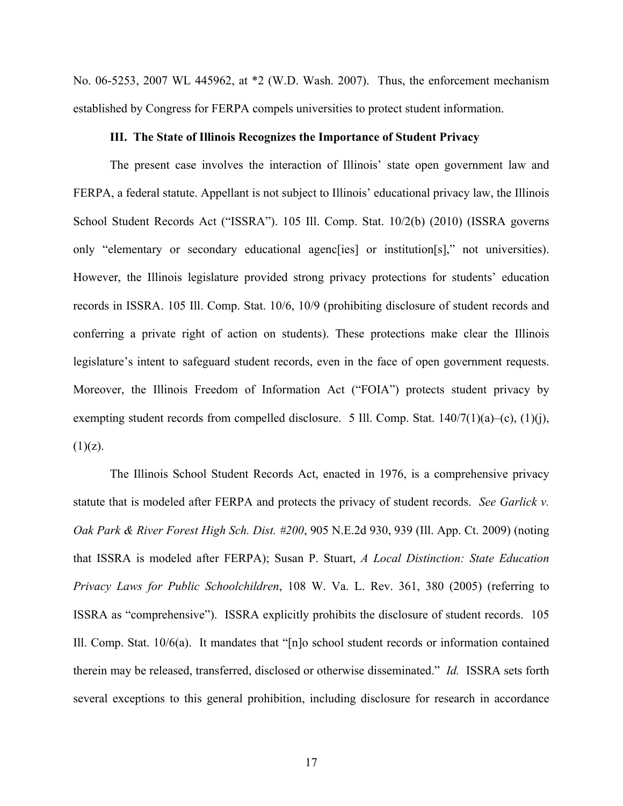No. 06-5253, 2007 WL 445962, at \*2 (W.D. Wash. 2007). Thus, the enforcement mechanism established by Congress for FERPA compels universities to protect student information.

### **III. The State of Illinois Recognizes the Importance of Student Privacy**

The present case involves the interaction of Illinois' state open government law and FERPA, a federal statute. Appellant is not subject to Illinois' educational privacy law, the Illinois School Student Records Act ("ISSRA"). 105 Ill. Comp. Stat. 10/2(b) (2010) (ISSRA governs only "elementary or secondary educational agenc[ies] or institution[s]," not universities). However, the Illinois legislature provided strong privacy protections for students' education records in ISSRA. 105 Ill. Comp. Stat. 10/6, 10/9 (prohibiting disclosure of student records and conferring a private right of action on students). These protections make clear the Illinois legislature's intent to safeguard student records, even in the face of open government requests. Moreover, the Illinois Freedom of Information Act ("FOIA") protects student privacy by exempting student records from compelled disclosure. 5 Ill. Comp. Stat. 140/7(1)(a)–(c), (1)(j),  $(1)(z)$ .

The Illinois School Student Records Act, enacted in 1976, is a comprehensive privacy statute that is modeled after FERPA and protects the privacy of student records. *See Garlick v. Oak Park & River Forest High Sch. Dist. #200*, 905 N.E.2d 930, 939 (Ill. App. Ct. 2009) (noting that ISSRA is modeled after FERPA); Susan P. Stuart, *A Local Distinction: State Education Privacy Laws for Public Schoolchildren*, 108 W. Va. L. Rev. 361, 380 (2005) (referring to ISSRA as "comprehensive"). ISSRA explicitly prohibits the disclosure of student records. 105 Ill. Comp. Stat. 10/6(a). It mandates that "[n]o school student records or information contained therein may be released, transferred, disclosed or otherwise disseminated." *Id.* ISSRA sets forth several exceptions to this general prohibition, including disclosure for research in accordance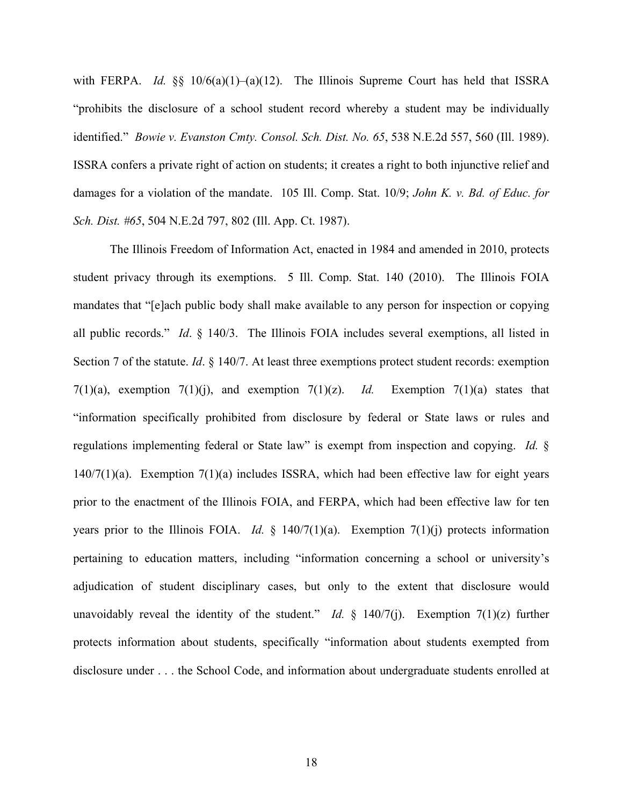with FERPA. *Id.* §§ 10/6(a)(1)–(a)(12). The Illinois Supreme Court has held that ISSRA "prohibits the disclosure of a school student record whereby a student may be individually identified." *Bowie v. Evanston Cmty. Consol. Sch. Dist. No. 65*, 538 N.E.2d 557, 560 (Ill. 1989). ISSRA confers a private right of action on students; it creates a right to both injunctive relief and damages for a violation of the mandate. 105 Ill. Comp. Stat. 10/9; *John K. v. Bd. of Educ. for Sch. Dist. #65*, 504 N.E.2d 797, 802 (Ill. App. Ct. 1987).

The Illinois Freedom of Information Act, enacted in 1984 and amended in 2010, protects student privacy through its exemptions. 5 Ill. Comp. Stat. 140 (2010). The Illinois FOIA mandates that "[e]ach public body shall make available to any person for inspection or copying all public records." *Id*. § 140/3. The Illinois FOIA includes several exemptions, all listed in Section 7 of the statute. *Id*. § 140/7. At least three exemptions protect student records: exemption 7(1)(a), exemption 7(1)(j), and exemption 7(1)(z). *Id.* Exemption 7(1)(a) states that "information specifically prohibited from disclosure by federal or State laws or rules and regulations implementing federal or State law" is exempt from inspection and copying. *Id.* §  $140/7(1)(a)$ . Exemption  $7(1)(a)$  includes ISSRA, which had been effective law for eight years prior to the enactment of the Illinois FOIA, and FERPA, which had been effective law for ten years prior to the Illinois FOIA. *Id.*  $\frac{1}{2}$  140/7(1)(a). Exemption 7(1)(j) protects information pertaining to education matters, including "information concerning a school or university's adjudication of student disciplinary cases, but only to the extent that disclosure would unavoidably reveal the identity of the student." *Id.*  $\S$  140/7(j). Exemption 7(1)(z) further protects information about students, specifically "information about students exempted from disclosure under . . . the School Code, and information about undergraduate students enrolled at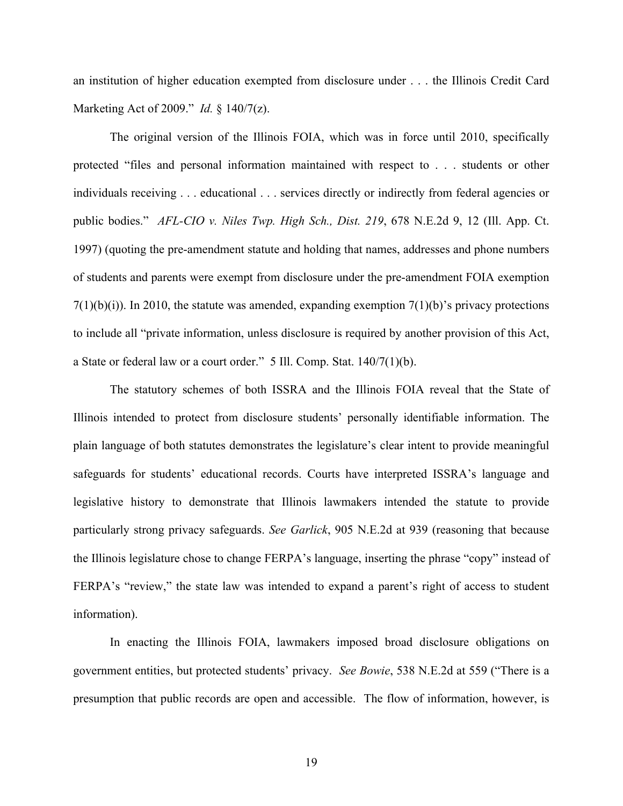an institution of higher education exempted from disclosure under . . . the Illinois Credit Card Marketing Act of 2009." *Id.* § 140/7(z).

The original version of the Illinois FOIA, which was in force until 2010, specifically protected "files and personal information maintained with respect to . . . students or other individuals receiving . . . educational . . . services directly or indirectly from federal agencies or public bodies." *AFL-CIO v. Niles Twp. High Sch., Dist. 219*, 678 N.E.2d 9, 12 (Ill. App. Ct. 1997) (quoting the pre-amendment statute and holding that names, addresses and phone numbers of students and parents were exempt from disclosure under the pre-amendment FOIA exemption  $7(1)(b)(i)$ ). In 2010, the statute was amended, expanding exemption  $7(1)(b)$ 's privacy protections to include all "private information, unless disclosure is required by another provision of this Act, a State or federal law or a court order." 5 Ill. Comp. Stat. 140/7(1)(b).

The statutory schemes of both ISSRA and the Illinois FOIA reveal that the State of Illinois intended to protect from disclosure students' personally identifiable information. The plain language of both statutes demonstrates the legislature's clear intent to provide meaningful safeguards for students' educational records. Courts have interpreted ISSRA's language and legislative history to demonstrate that Illinois lawmakers intended the statute to provide particularly strong privacy safeguards. *See Garlick*, 905 N.E.2d at 939 (reasoning that because the Illinois legislature chose to change FERPA's language, inserting the phrase "copy" instead of FERPA's "review," the state law was intended to expand a parent's right of access to student information).

In enacting the Illinois FOIA, lawmakers imposed broad disclosure obligations on government entities, but protected students' privacy. *See Bowie*, 538 N.E.2d at 559 ("There is a presumption that public records are open and accessible. The flow of information, however, is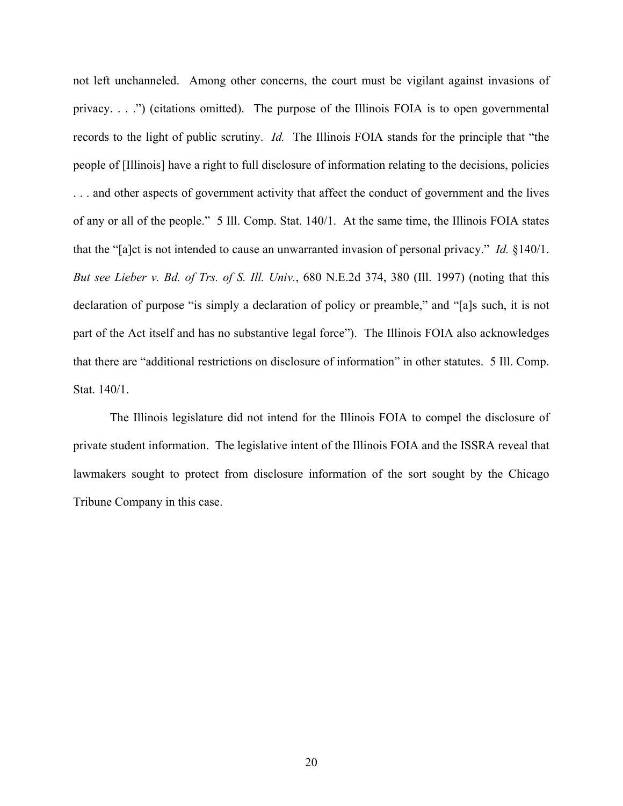not left unchanneled. Among other concerns, the court must be vigilant against invasions of privacy. . . .") (citations omitted). The purpose of the Illinois FOIA is to open governmental records to the light of public scrutiny. *Id.* The Illinois FOIA stands for the principle that "the people of [Illinois] have a right to full disclosure of information relating to the decisions, policies . . . and other aspects of government activity that affect the conduct of government and the lives of any or all of the people." 5 Ill. Comp. Stat. 140/1. At the same time, the Illinois FOIA states that the "[a]ct is not intended to cause an unwarranted invasion of personal privacy." *Id.* §140/1. *But see Lieber v. Bd. of Trs. of S. Ill. Univ.*, 680 N.E.2d 374, 380 (Ill. 1997) (noting that this declaration of purpose "is simply a declaration of policy or preamble," and "[a]s such, it is not part of the Act itself and has no substantive legal force"). The Illinois FOIA also acknowledges that there are "additional restrictions on disclosure of information" in other statutes. 5 Ill. Comp. Stat. 140/1.

The Illinois legislature did not intend for the Illinois FOIA to compel the disclosure of private student information. The legislative intent of the Illinois FOIA and the ISSRA reveal that lawmakers sought to protect from disclosure information of the sort sought by the Chicago Tribune Company in this case.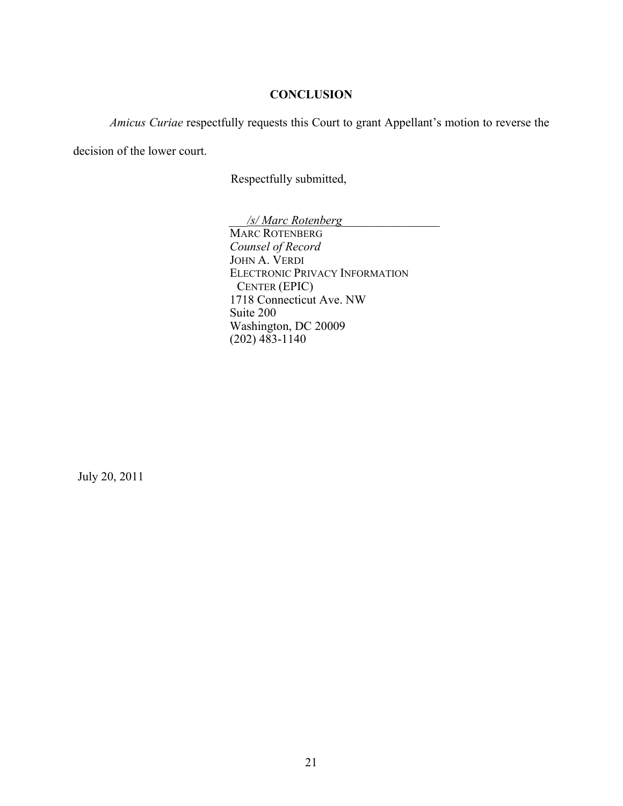## **CONCLUSION**

*Amicus Curiae* respectfully requests this Court to grant Appellant's motion to reverse the

decision of the lower court.

Respectfully submitted,

\_\_\_*/s/ Marc Rotenberg*\_\_\_\_\_\_\_\_\_\_\_\_\_\_\_\_ MARC ROTENBERG *Counsel of Record* JOHN A. VERDI ELECTRONIC PRIVACY INFORMATION CENTER (EPIC) 1718 Connecticut Ave. NW Suite 200 Washington, DC 20009  $(202)$  483-1140

July 20, 2011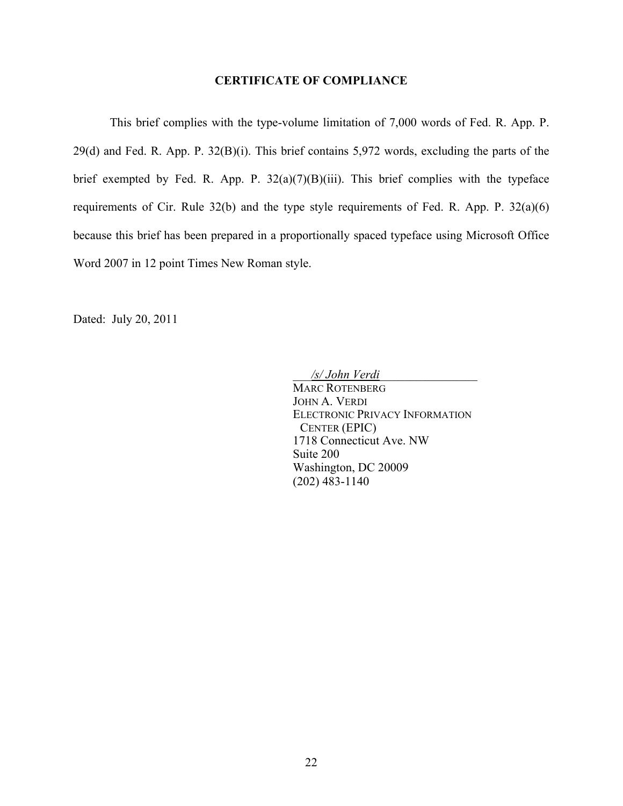## **CERTIFICATE OF COMPLIANCE**

This brief complies with the type-volume limitation of 7,000 words of Fed. R. App. P. 29(d) and Fed. R. App. P. 32(B)(i). This brief contains 5,972 words, excluding the parts of the brief exempted by Fed. R. App. P.  $32(a)(7)(B)(iii)$ . This brief complies with the typeface requirements of Cir. Rule 32(b) and the type style requirements of Fed. R. App. P. 32(a)(6) because this brief has been prepared in a proportionally spaced typeface using Microsoft Office Word 2007 in 12 point Times New Roman style.

Dated: July 20, 2011

\_\_\_*/s/ John Verdi*\_\_\_\_\_\_\_\_\_\_\_\_\_\_\_\_

MARC ROTENBERG JOHN A. VERDI ELECTRONIC PRIVACY INFORMATION CENTER (EPIC) 1718 Connecticut Ave. NW Suite 200 Washington, DC 20009 (202) 483-1140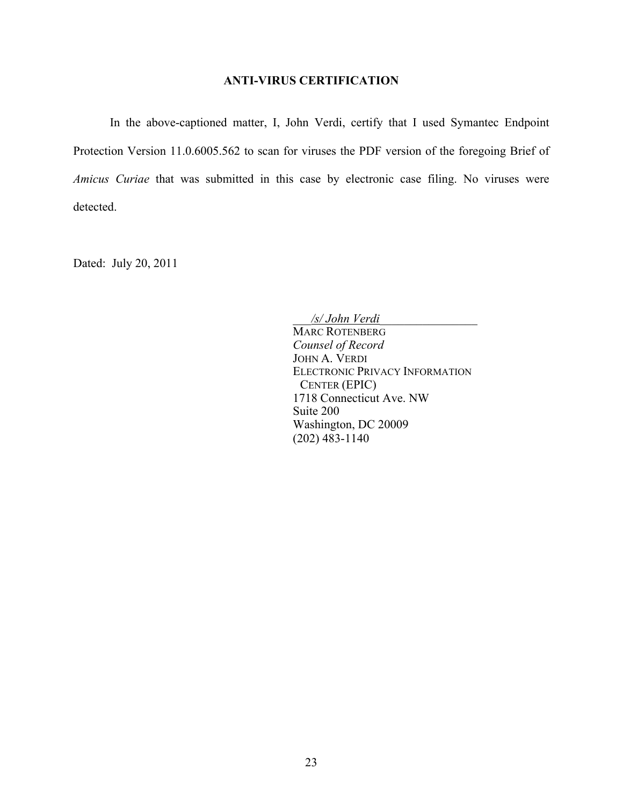## **ANTI-VIRUS CERTIFICATION**

In the above-captioned matter, I, John Verdi, certify that I used Symantec Endpoint Protection Version 11.0.6005.562 to scan for viruses the PDF version of the foregoing Brief of *Amicus Curiae* that was submitted in this case by electronic case filing. No viruses were detected.

Dated: July 20, 2011

\_\_\_*/s/ John Verdi*\_\_\_\_\_\_\_\_\_\_\_\_\_\_\_\_

MARC ROTENBERG *Counsel of Record* JOHN A. VERDI ELECTRONIC PRIVACY INFORMATION CENTER (EPIC) 1718 Connecticut Ave. NW Suite 200 Washington, DC 20009 (202) 483-1140